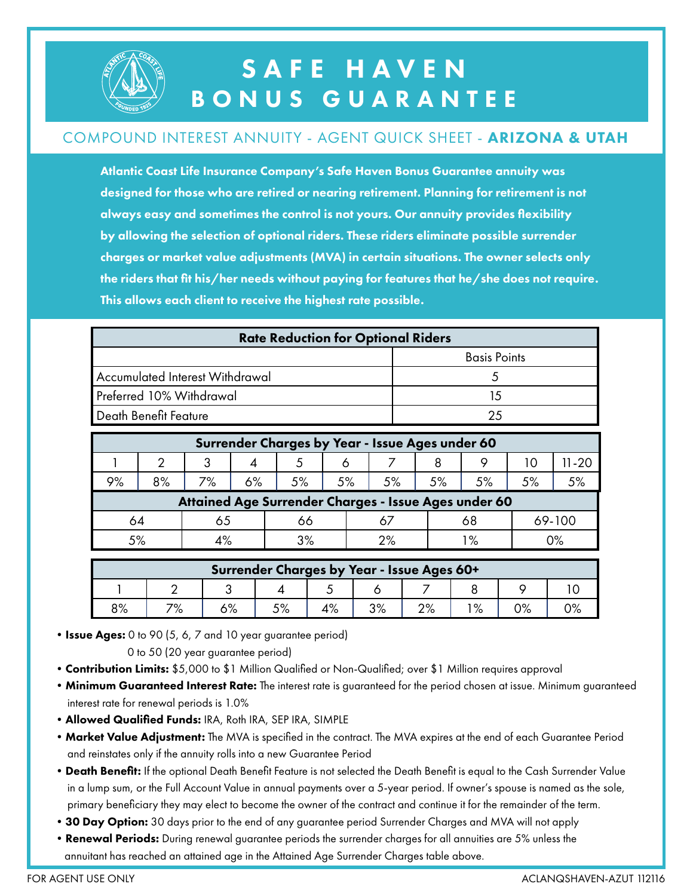

## SAFE HAVEN BONUS GUARANTEE

#### COMPOUND INTEREST ANNUITY - AGENT QUICK SHEET - ARIZONA & UTAH

Atlantic Coast Life Insurance Company's Safe Haven Bonus Guarantee annuity was designed for those who are retired or nearing retirement. Planning for retirement is not always easy and sometimes the control is not yours. Our annuity provides flexibility by allowing the selection of optional riders. These riders eliminate possible surrender charges or market value adjustments (MVA) in certain situations. The owner selects only the riders that fit his/her needs without paying for features that he/she does not require. This allows each client to receive the highest rate possible.

| <b>Rate Reduction for Optional Riders</b> |                     |  |  |  |  |  |
|-------------------------------------------|---------------------|--|--|--|--|--|
|                                           | <b>Basis Points</b> |  |  |  |  |  |
| Accumulated Interest Withdrawal           |                     |  |  |  |  |  |
| Preferred 10% Withdrawal                  | 1.5                 |  |  |  |  |  |
| Death Benefit Feature                     |                     |  |  |  |  |  |

| Surrender Charges by Year - Issue Ages under 60      |    |          |    |    |    |    |       |    |    |        |  |
|------------------------------------------------------|----|----------|----|----|----|----|-------|----|----|--------|--|
|                                                      | 2  | ્ર       |    |    |    |    |       | o  | ТC | II-20  |  |
| 9%                                                   | 8% | 7%       | 6% | 5% | 5% | 5% | $5\%$ | 5% | 5% |        |  |
| Attained Age Surrender Charges - Issue Ages under 60 |    |          |    |    |    |    |       |    |    |        |  |
| 64                                                   |    | 65       |    | 66 |    |    |       | 68 |    | 69-100 |  |
| 5%                                                   |    | 3%<br>4% |    |    | 2% |    | l %   |    | 0% |        |  |

| Surrender Charges by Year - Issue Ages 60+ |           |    |    |               |               |    |      |    |  |  |  |
|--------------------------------------------|-----------|----|----|---------------|---------------|----|------|----|--|--|--|
|                                            |           |    |    | ◡             |               |    |      |    |  |  |  |
| 8%                                         | 70/<br>/о | 6% | 5% | 1 O /<br>4 /ο | /ס כי<br>ە/ د | 2% | 1 O/ | 0% |  |  |  |

• Issue Ages: 0 to 90 (5, 6, 7 and 10 year guarantee period)

0 to 50 (20 year guarantee period)

- Contribution Limits: \$5,000 to \$1 Million Qualified or Non-Qualified; over \$1 Million requires approval
- Minimum Guaranteed Interest Rate: The interest rate is guaranteed for the period chosen at issue. Minimum guaranteed interest rate for renewal periods is 1.0%
- •Allowed Qualified Funds: IRA, Roth IRA, SEP IRA, SIMPLE
- Market Value Adjustment: The MVA is specified in the contract. The MVA expires at the end of each Guarantee Period and reinstates only if the annuity rolls into a new Guarantee Period
- Death Benefit: If the optional Death Benefit Feature is not selected the Death Benefit is equal to the Cash Surrender Value in a lump sum, or the Full Account Value in annual payments over a 5-year period. If owner's spouse is named as the sole, primary beneficiary they may elect to become the owner of the contract and continue it for the remainder of the term.
- 30 Day Option: 30 days prior to the end of any guarantee period Surrender Charges and MVA will not apply
- Renewal Periods: During renewal guarantee periods the surrender charges for all annuities are 5% unless the annuitant has reached an attained age in the Attained Age Surrender Charges table above.